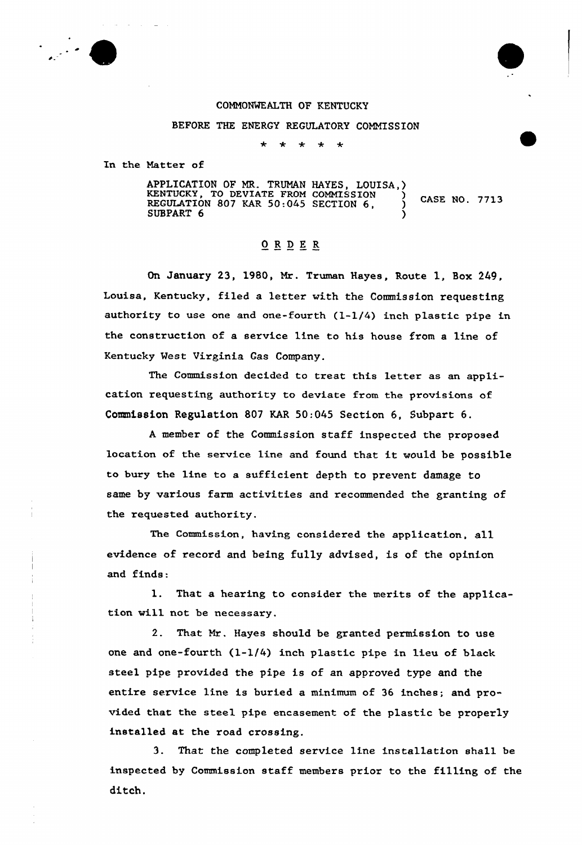

## COMM0%KALTH OF KENTUCKY

BEFORE THE ENERGY REGULATORY COMMISSION

 $*$   $*$  $\star$  $\rightarrow$ 

In the Natter of

APPLICATION OF MR. TRUMAN HAYES, LOUISA,) KENTUCKY, TO DEVIATE FROM COMMISSION (1)<br>REGULATION 807 KAR 50:045 SECTION 6, 112 (2) SUBPART 6

## ORDER

On January 23, 1980, Mr. Truman Hayes, Route 1, Box 249, Louisa, Kentucky, filed a letter with the Commission requesting authority to use one and one-fouxth (1-1/4) inch plastic pipe in the construction of a service line to his house from a line of Kentucky Vest Virginia Gas Company.

The Commission decided to treat this letter as an application requesting authority to deviate from the provisions of Commission Regulation 807 KAR 50:045 Section 6, Subpart 6.

<sup>A</sup> member of the Commission staff inspected the proposed location of the sexvice line and found that it would be possible to bury the line to a sufficient depth to prevent damage to same by various farm activities and recommended the granting of the requested authority.

The Commission, having considered the application, a11 evidence of record and being fully advised, is of the opinion and finds:

1. That a hearing to consider the merits of the application will not be necessary.

2. That Nr. Hayes should be granted permission to use one and one-fourth (l-l/4) inch plastic pipe in lieu of black steel pipe pxovtded the pipe is of an approved type and the entire service line is buried a minimum of 36 inches; and provided that the steel pipe encasement of the plastic be properly installed at the road crossing.

3. That the completed service line installation shall be inspected by Commission staff members prior to the filling of the ditch.